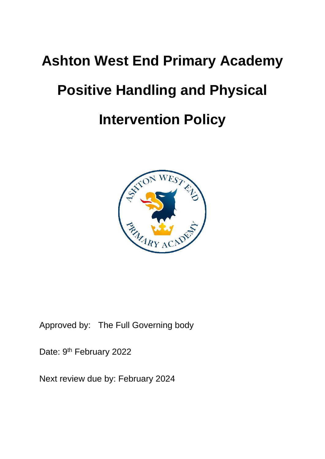# **Ashton West End Primary Academy Positive Handling and Physical Intervention Policy**



Approved by: The Full Governing body

Date: 9<sup>th</sup> February 2022

Next review due by: February 2024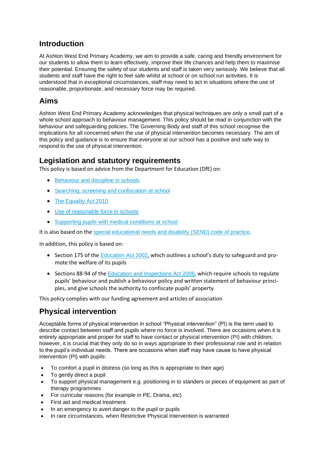# **Introduction**

At Ashton West End Primary Academy, we aim to provide a safe, caring and friendly environment for our students to allow them to learn effectively, improve their life chances and help them to maximise their potential. Ensuring the safety of our students and staff is taken very seriously. We believe that all students and staff have the right to feel safe whilst at school or on school run activities. It is understood that in exceptional circumstances, staff may need to act in situations where the use of reasonable, proportionate, and necessary force may be required.

# **Aims**

Ashton West End Primary Academy acknowledges that physical techniques are only a small part of a whole school approach to behaviour management. This policy should be read in conjunction with the behaviour and safeguarding policies. The Governing Body and staff of this school recognise the implications for all concerned when the use of physical intervention becomes necessary. The aim of this policy and guidance is to ensure that everyone at our school has a positive and safe way to respond to the use of physical intervention.

### **Legislation and statutory requirements**

This policy is based on advice from the Department for Education (DfE) on:

- [Behaviour and discipline in schools](https://www.gov.uk/government/publications/behaviour-and-discipline-in-schools)
- [Searching, screening and confiscation at school](https://www.gov.uk/government/publications/searching-screening-and-confiscation)
- [The Equality Act 2010](https://www.gov.uk/government/publications/equality-act-2010-advice-for-schools)
- [Use of reasonable force in schools](https://www.gov.uk/government/publications/use-of-reasonable-force-in-schools)
- [Supporting pupils with medical conditions at school](https://www.gov.uk/government/publications/supporting-pupils-at-school-with-medical-conditions--3)

It is also based on the [special educational needs and disability \(SEND\) code of practice](https://www.gov.uk/government/publications/send-code-of-practice-0-to-25).

In addition, this policy is based on:

- Section 175 of the [Education Act 2002](http://www.legislation.gov.uk/ukpga/2002/32/section/175), which outlines a school's duty to safeguard and promote the welfare of its pupils
- Sections 88-94 of the [Education and Inspections Act 2006](http://www.legislation.gov.uk/ukpga/2006/40/section/88), which require schools to regulate pupils' behaviour and publish a behaviour policy and written statement of behaviour principles, and give schools the authority to confiscate pupils' property

This policy complies with our funding agreement and articles of association

# **Physical intervention**

Acceptable forms of physical intervention in school "Physical intervention" (PI) is the term used to describe contact between staff and pupils where no force is involved. There are occasions when it is entirely appropriate and proper for staff to have contact or physical intervention (PI) with children; however, it is crucial that they only do so in ways appropriate to their professional role and in relation to the pupil's individual needs. There are occasions when staff may have cause to have physical intervention (PI) with pupils:

- To comfort a pupil in distress (so long as this is appropriate to their age)
- To gently direct a pupil
- To support physical management e.g. positioning in to standers or pieces of equipment as part of therapy programmes
- For curricular reasons (for example in PE, Drama, etc)
- First aid and medical treatment
- In an emergency to avert danger to the pupil or pupils
- In rare circumstances, when Restrictive Physical Intervention is warranted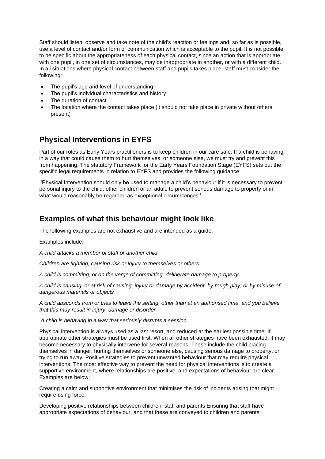Staff should listen, observe and take note of the child's reaction or feelings and, so far as is possible, use a level of contact and/or form of communication which is acceptable to the pupil. It is not possible to be specific about the appropriateness of each physical contact, since an action that is appropriate with one pupil, in one set of circumstances, may be inappropriate in another, or with a different child. In all situations where physical contact between staff and pupils takes place, staff must consider the following:

- The pupil's age and level of understanding
- The pupil's individual characteristics and history
- The duration of contact
- The location where the contact takes place (it should not take place in private without others present)

# **Physical Interventions in EYFS**

Part of our roles as Early Years practitioners is to keep children in our care safe. If a child is behaving in a way that could cause them to hurt themselves, or someone else, we must try and prevent this from happening. The statutory Framework for the Early Years Foundation Stage (EYFS) sets out the specific legal requirements in relation to EYFS and provides the following guidance:

'Physical Intervention should only be used to manage a child's behaviour if it is necessary to prevent personal injury to the child, other children or an adult, to prevent serious damage to property or in what would reasonably be regarded as exceptional circumstances.'

#### **Examples of what this behaviour might look like**

The following examples are not exhaustive and are intended as a guide.

Examples include:

*A child attacks a member of staff or another child* 

*Children are fighting, causing risk or injury to themselves or others* 

*A child is committing, or on the verge of committing, deliberate damage to property* 

*A child is causing, or at risk of causing, injury or damage by accident, by rough play, or by misuse of dangerous materials or objects*

*A child absconds from or tries to leave the setting, other than at an authorised time, and you believe that this may result in injury, damage or disorder*

*A child is behaving in a way that seriously disrupts a session*

Physical intervention is always used as a last resort, and reduced at the earliest possible time. If appropriate other strategies must be used first. When all other strategies have been exhausted, it may become necessary to physically intervene for several reasons. These include the child placing themselves in danger, hurting themselves or someone else, causing serious damage to property, or trying to run away. Positive strategies to prevent unwanted behaviour that may require physical interventions. The most effective way to prevent the need for physical interventions is to create a supportive environment, where relationships are positive, and expectations of behaviour are clear. Examples are below;

Creating a calm and supportive environment that minimises the risk of incidents arising that might require using force.

Developing positive relationships between children, staff and parents Ensuring that staff have appropriate expectations of behaviour, and that these are conveyed to children and parents